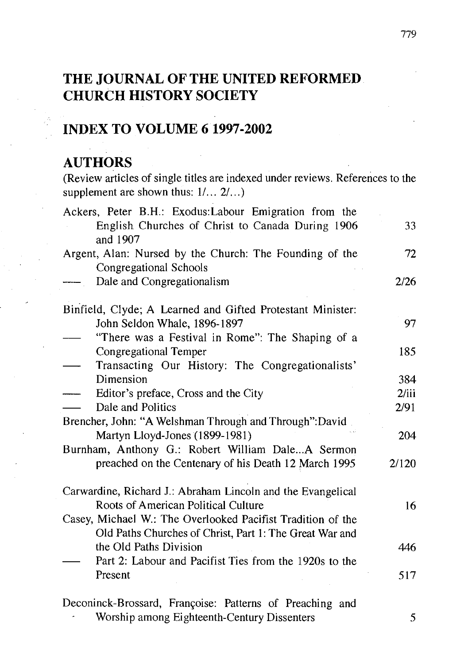# **THE JOURNAL OF THE UNITED REFORMED CHURCH HISTORY SOCIETY**

# **INDEX TO VOLUME 6 1997-2002**

### **AUTHORS**

(Review articles of single titles are indexed under reviews. References to the supplement are shown thus:  $1/ \dots 2/ \dots$ )

| Ackers, Peter B.H.: Exodus: Labour Emigration from the<br>English Churches of Christ to Canada During 1906<br>and 1907 | 33    |
|------------------------------------------------------------------------------------------------------------------------|-------|
| Argent, Alan: Nursed by the Church: The Founding of the<br>Congregational Schools                                      | 72    |
| Dale and Congregationalism                                                                                             | 2/26  |
| Binfield, Clyde; A Learned and Gifted Protestant Minister:                                                             |       |
| John Seldon Whale, 1896-1897                                                                                           | 97    |
| "There was a Festival in Rome": The Shaping of a                                                                       |       |
| <b>Congregational Temper</b>                                                                                           | 185   |
| Transacting Our History: The Congregationalists'                                                                       |       |
| Dimension                                                                                                              | 384   |
| Editor's preface, Cross and the City                                                                                   | 2/iii |
| Dale and Politics                                                                                                      | 2/91  |
| Brencher, John: "A Welshman Through and Through":David                                                                 |       |
| Martyn Lloyd-Jones (1899-1981)                                                                                         | 204   |
| Burnham, Anthony G.: Robert William DaleA Sermon                                                                       |       |
| preached on the Centenary of his Death 12 March 1995                                                                   | 2/120 |
| Carwardine, Richard J.: Abraham Lincoln and the Evangelical                                                            |       |
| Roots of American Political Culture                                                                                    | 16    |
| Casey, Michael W.: The Overlooked Pacifist Tradition of the                                                            |       |
| Old Paths Churches of Christ, Part 1: The Great War and                                                                |       |
| the Old Paths Division                                                                                                 | 446   |
| Part 2: Labour and Pacifist Ties from the 1920s to the                                                                 |       |
| Present                                                                                                                | 517   |
| Deconinck-Brossard, Françoise: Patterns of Preaching and                                                               |       |
| Worship among Eighteenth-Century Dissenters                                                                            | 5     |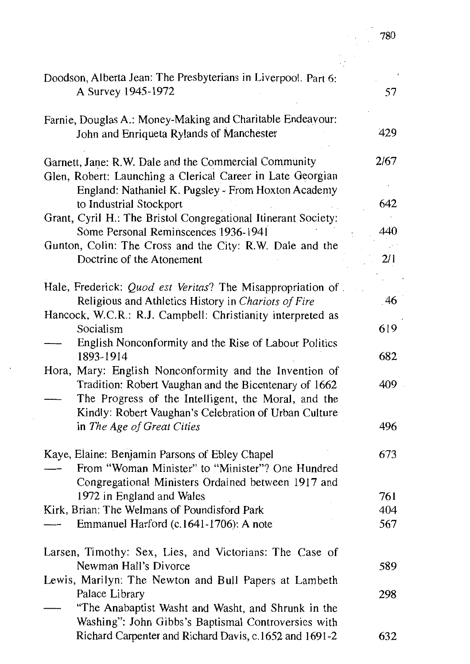| Doodson, Alberta Jean: The Presbyterians in Liverpool. Part 6:<br>A Survey 1945-1972                                                                                                                                            | 57   |
|---------------------------------------------------------------------------------------------------------------------------------------------------------------------------------------------------------------------------------|------|
| Farnie, Douglas A.: Money-Making and Charitable Endeavour:<br>John and Enriqueta Rylands of Manchester                                                                                                                          | 429  |
| Garnett, Jane: R.W. Dale and the Commercial Community<br>Glen, Robert: Launching a Clerical Career in Late Georgian<br>England: Nathaniel K. Pugsley - From Hoxton Academy                                                      | 2/67 |
| to Industrial Stockport                                                                                                                                                                                                         | 642  |
| Grant, Cyril H.: The Bristol Congregational Itinerant Society:<br>Sòme Personal Reminscences 1936-1941                                                                                                                          | 440  |
| Gunton, Colin: The Cross and the City: R.W. Dale and the<br>Doctrine of the Atonement                                                                                                                                           | 2/1  |
| Hale, Frederick: Quod est Veritas? The Misappropriation of<br>Religious and Athletics History in Chariots of Fire                                                                                                               | 46   |
| Hancock, W.C.R.: R.J. Campbell: Christianity interpreted as<br>Socialism                                                                                                                                                        | 619  |
| English Nonconformity and the Rise of Labour Politics<br>1893-1914                                                                                                                                                              | 682  |
| Hora, Mary: English Nonconformity and the Invention of<br>Tradition: Robert Vaughan and the Bicentenary of 1662<br>The Progress of the Intelligent, the Moral, and the<br>Kindly: Robert Vaughan's Celebration of Urban Culture | 409  |
| in The Age of Great Cities                                                                                                                                                                                                      | 496  |
| Kaye, Elaine: Benjamin Parsons of Ebley Chapel<br>From "Woman Minister" to "Minister"? One Hundred<br>Congregational Ministers Ordained between 1917 and                                                                        | 673  |
| 1972 in England and Wales                                                                                                                                                                                                       | 761  |
| Kirk, Brian: The Welmans of Poundisford Park                                                                                                                                                                                    | 404  |
| Emmanuel Harford (c.1641-1706): A note                                                                                                                                                                                          | 567  |
| Larsen, Timothy: Sex, Lies, and Victorians: The Case of<br>Newman Hall's Divorce                                                                                                                                                | 589  |
| Lewis, Marilyn: The Newton and Bull Papers at Lambeth<br>Palace Library<br>"The Anabaptist Washt and Washt, and Shrunk in the                                                                                                   | 298  |
| Washing": John Gibbs's Baptismal Controversies with<br>Richard Carpenter and Richard Davis, c.1652 and 1691-2                                                                                                                   | 632  |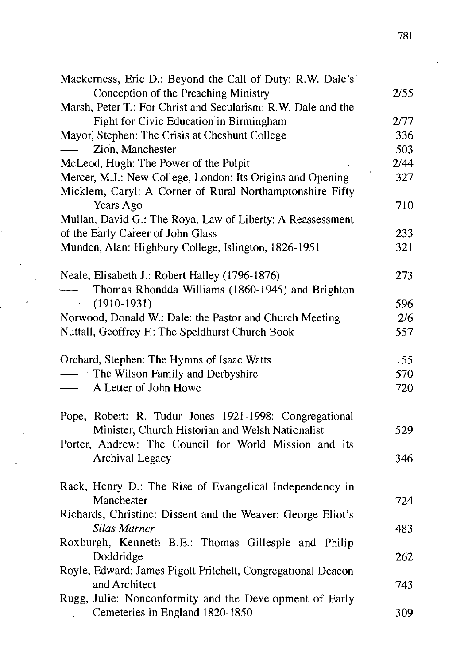| Mackerness, Eric D.: Beyond the Call of Duty: R.W. Dale's     |      |
|---------------------------------------------------------------|------|
| Conception of the Preaching Ministry                          | 2/55 |
| Marsh, Peter T.: For Christ and Secularism: R.W. Dale and the |      |
| Fight for Civic Education in Birmingham                       | 2/77 |
| Mayor, Stephen: The Crisis at Cheshunt College                | 336  |
| Zion, Manchester                                              | 503  |
| McLeod, Hugh: The Power of the Pulpit                         | 2/44 |
| Mercer, M.J.: New College, London: Its Origins and Opening    | 327  |
| Micklem, Caryl: A Corner of Rural Northamptonshire Fifty      |      |
| Years Ago                                                     | 710  |
| Mullan, David G.: The Royal Law of Liberty: A Reassessment    |      |
| of the Early Career of John Glass                             | 233  |
| Munden, Alan: Highbury College, Islington, 1826-1951          | 321  |
|                                                               |      |
| Neale, Elisabeth J.: Robert Halley (1796-1876)                | 273  |
| Thomas Rhondda Williams (1860-1945) and Brighton              |      |
| $(1910-1931)$                                                 | 596  |
| Norwood, Donald W.: Dale: the Pastor and Church Meeting       | 2/6  |
| Nuttall, Geoffrey F.: The Speldhurst Church Book              | 557  |
|                                                               |      |
| Orchard, Stephen: The Hymns of Isaac Watts                    | 155  |
| The Wilson Family and Derbyshire                              | 570  |
| A Letter of John Howe                                         | 720  |
|                                                               |      |
| Pope, Robert: R. Tudur Jones 1921-1998: Congregational        |      |
| Minister, Church Historian and Welsh Nationalist              | 529  |
| Porter, Andrew: The Council for World Mission and its         |      |
| Archival Legacy                                               | 346  |
|                                                               |      |
| Rack, Henry D.: The Rise of Evangelical Independency in       |      |
| Manchester                                                    | 724  |
| Richards, Christine: Dissent and the Weaver: George Eliot's   |      |
| Silas Marner                                                  | 483  |
| Roxburgh, Kenneth B.E.: Thomas Gillespie and Philip           |      |
| Doddridge                                                     | 262  |
| Royle, Edward: James Pigott Pritchett, Congregational Deacon  |      |
| and Architect                                                 | 743  |
| Rugg, Julie: Nonconformity and the Development of Early       |      |
| Cemeteries in England 1820-1850                               | 309  |
|                                                               |      |

 $\mathbf{r}$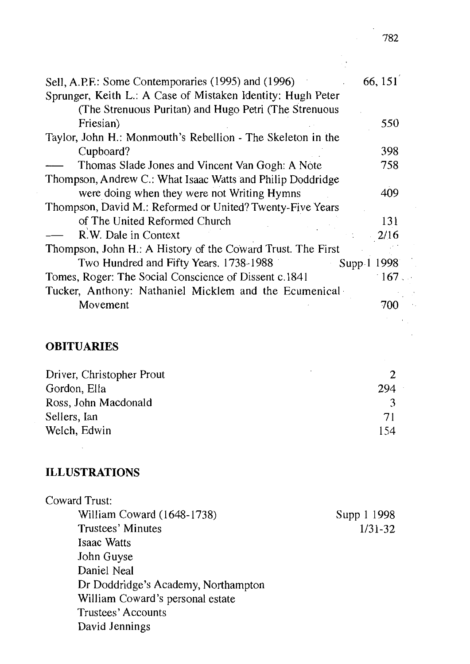| Sell, A.P.F.: Some Contemporaries (1995) and (1996)         | 66, 151       |
|-------------------------------------------------------------|---------------|
| Sprunger, Keith L.: A Case of Mistaken Identity: Hugh Peter |               |
| (The Strenuous Puritan) and Hugo Petri (The Strenuous       |               |
| Friesian)                                                   | 550           |
| Taylor, John H.: Monmouth's Rebellion - The Skeleton in the |               |
| Cupboard?                                                   | 398           |
| Thomas Slade Jones and Vincent Van Gogh: A Note             | 758           |
| Thompson, Andrew C.: What Isaac Watts and Philip Doddridge  |               |
| were doing when they were not Writing Hymns                 | 409           |
| Thompson, David M.: Reformed or United? Twenty-Five Years   |               |
| of The United Reformed Church                               | 131           |
| R.W. Dale in Context                                        | 2/16          |
| Thompson, John H.: A History of the Coward Trust. The First |               |
| Two Hundred and Fifty Years. 1738-1988<br>Supp 1            | 1998          |
| Tomes, Roger: The Social Conscience of Dissent c.1841       | $\cdot 167$ . |
| Tucker, Anthony: Nathaniel Micklem and the Ecumenical       |               |
| Movement                                                    | 700           |

## **OBITUARIES**

| Driver, Christopher Prout |     |
|---------------------------|-----|
| Gordon, Ella              | 294 |
| Ross, John Macdonald      |     |
| Sellers, Ian              | 71  |
| Welch, Edwin              | 154 |

## **ILLUSTRATIONS**

 $\sim$  10  $\sim$ 

| Coward Trust:                       |             |
|-------------------------------------|-------------|
| William Coward (1648-1738)          | Supp 1 1998 |
| Trustees' Minutes                   | $1/31 - 32$ |
| Isaac Watts                         |             |
| John Guyse                          |             |
| Daniel Neal                         |             |
| Dr Doddridge's Academy, Northampton |             |
| William Coward's personal estate    |             |
| Trustees' Accounts                  |             |
| David Jennings                      |             |

 $\overline{\phantom{a}}$ 

 $\bar{\mathbf{r}}$ 

 $\epsilon_{\rm{in}}$ 

 $\mathbb{Z}_2$  .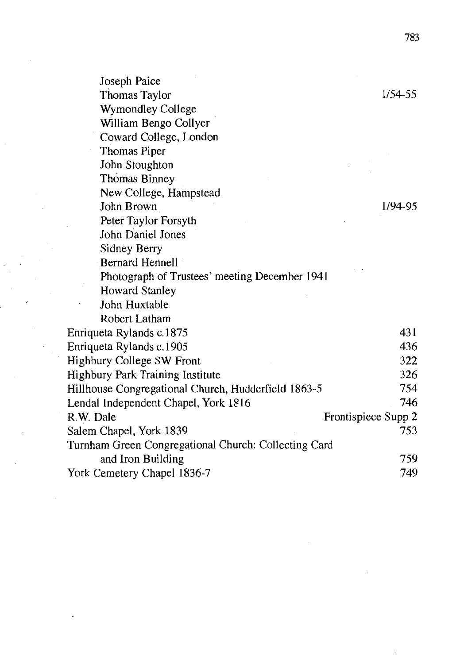| Joseph Paice                                         |                     |
|------------------------------------------------------|---------------------|
| Thomas Taylor                                        | 1/54-55             |
| Wymondley College                                    |                     |
| William Bengo Collyer                                |                     |
| Coward College, London                               |                     |
| Thomas Piper                                         |                     |
| John Stoughton                                       |                     |
| Thomas Binney                                        |                     |
| New College, Hampstead                               |                     |
| John Brown                                           | 1/94-95             |
| Peter Taylor Forsyth                                 |                     |
| John Daniel Jones                                    |                     |
| Sidney Berry                                         |                     |
| <b>Bernard Hennell</b>                               |                     |
| Photograph of Trustees' meeting December 1941        |                     |
| <b>Howard Stanley</b>                                |                     |
| John Huxtable                                        |                     |
| Robert Latham                                        |                     |
| Enriqueta Rylands c.1875                             | 431                 |
| Enriqueta Rylands c.1905                             | 436                 |
| Highbury College SW Front                            | 322                 |
| Highbury Park Training Institute                     | 326                 |
| Hillhouse Congregational Church, Hudderfield 1863-5  | 754                 |
| Lendal Independent Chapel, York 1816                 | 746                 |
| R.W. Dale                                            | Frontispiece Supp 2 |
| Salem Chapel, York 1839                              | 753                 |
| Turnham Green Congregational Church: Collecting Card |                     |
| and Iron Building                                    | 759                 |
| York Cemetery Chapel 1836-7                          | 749                 |

783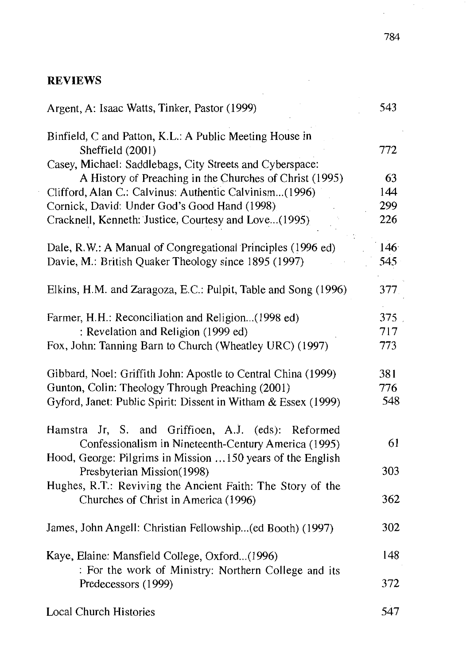#### **REVIEWS**

| Argent, A: Isaac Watts, Tinker, Pastor (1999)                               | 543 |
|-----------------------------------------------------------------------------|-----|
| Binfield, C and Patton, K.L.: A Public Meeting House in<br>Sheffield (2001) | 772 |
| Casey, Michael: Saddlebags, City Streets and Cyberspace:                    |     |
| A History of Preaching in the Churches of Christ (1995)                     | 63  |
| Clifford, Alan C.: Calvinus: Authentic Calvinism(1996)                      | 144 |
| Cornick, David: Under God's Good Hand (1998)                                | 299 |
| Cracknell, Kenneth: Justice, Courtesy and Love(1995).                       | 226 |
| Dale, R.W.: A Manual of Congregational Principles (1996 ed)                 | 146 |
| Davie, M.: British Quaker Theology since 1895 (1997)                        | 545 |
| Elkins, H.M. and Zaragoza, E.C.: Pulpit, Table and Song (1996)              | 377 |
| Farmer, H.H.: Reconciliation and Religion(1998 ed)                          | 375 |
| : Revelation and Religion (1999 ed)                                         | 717 |
| Fox, John: Tanning Barn to Church (Wheatley URC) (1997)                     | 773 |
| Gibbard, Noel: Griffith John: Apostle to Central China (1999)               | 381 |
| Gunton, Colin: Theology Through Preaching (2001)                            | 776 |
| Gyford, Janet: Public Spirit: Dissent in Witham & Essex (1999)              | 548 |
| Hamstra Jr, S. and Griffioen, A.J. (eds):<br>Reformed                       |     |
| Confessionalism in Nineteenth-Century America (1995)                        | 61  |
| Hood, George: Pilgrims in Mission 150 years of the English                  |     |
| Presbyterian Mission(1998)                                                  | 303 |
| Hughes, R.T.: Reviving the Ancient Faith: The Story of the                  |     |
| Churches of Christ in America (1996)                                        | 362 |
| James, John Angell: Christian Fellowship(ed Booth) (1997)                   | 302 |
| Kaye, Elaine: Mansfield College, Oxford(1996)                               | 148 |
| : For the work of Ministry: Northern College and its                        |     |
| Predecessors (1999)                                                         | 372 |
| Local Church Histories                                                      | 547 |

 $\overline{a}$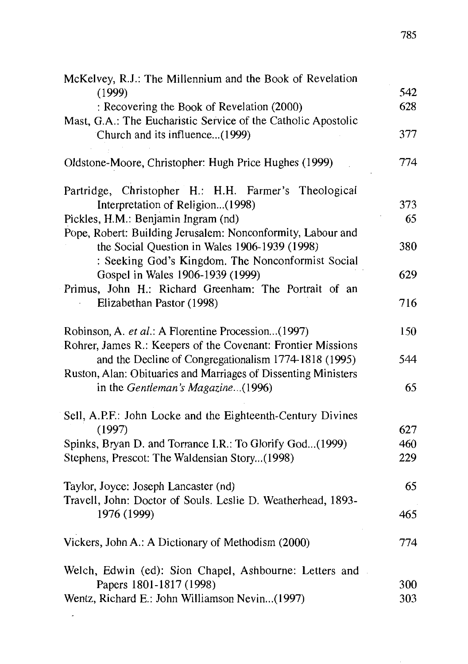| McKelvey, R.J.: The Millennium and the Book of Revelation                                       |     |
|-------------------------------------------------------------------------------------------------|-----|
| (1999)                                                                                          | 542 |
| : Recovering the Book of Revelation (2000)                                                      | 628 |
| Mast, G.A.: The Eucharistic Service of the Catholic Apostolic<br>Church and its influence(1999) | 377 |
|                                                                                                 |     |
| Oldstone-Moore, Christopher: Hugh Price Hughes (1999)                                           | 774 |
| Partridge, Christopher H.: H.H. Farmer's Theological                                            |     |
| Interpretation of Religion(1998)                                                                | 373 |
| Pickles, H.M.: Benjamin Ingram (nd)                                                             | 65  |
| Pope, Robert: Building Jerusalem: Nonconformity, Labour and                                     |     |
| the Social Question in Wales 1906-1939 (1998)                                                   | 380 |
| : Seeking God's Kingdom. The Nonconformist Social                                               |     |
| Gospel in Wales 1906-1939 (1999)                                                                | 629 |
| Primus, John H.: Richard Greenham: The Portrait of an                                           |     |
| Elizabethan Pastor (1998)                                                                       | 716 |
| Robinson, A. et al.: A Florentine Procession(1997)                                              | 150 |
| Rohrer, James R.: Keepers of the Covenant: Frontier Missions                                    |     |
| and the Decline of Congregationalism 1774-1818 (1995)                                           | 544 |
| Ruston, Alan: Obituaries and Marriages of Dissenting Ministers                                  |     |
| in the Gentleman's Magazine(1996)                                                               | 65  |
| Sell, A.P.F.: John Locke and the Eighteenth-Century Divines                                     |     |
| (1997)                                                                                          | 627 |
| Spinks, Bryan D. and Torrance I.R.: To Glorify God(1999)                                        | 460 |
| Stephens, Prescot: The Waldensian Story(1998)                                                   | 229 |
| Taylor, Joyce: Joseph Lancaster (nd)                                                            | 65  |
| Travell, John: Doctor of Souls. Leslie D. Weatherhead, 1893-                                    |     |
| 1976 (1999)                                                                                     | 465 |
| Vickers, John A.: A Dictionary of Methodism (2000)                                              | 774 |
| Welch, Edwin (ed): Sion Chapel, Ashbourne: Letters and                                          |     |
| Papers 1801-1817 (1998)                                                                         | 300 |
| Wentz, Richard E.: John Williamson Nevin(1997)                                                  | 303 |

 $\mathbf{z}^{(n)}$  and  $\mathbf{z}^{(n)}$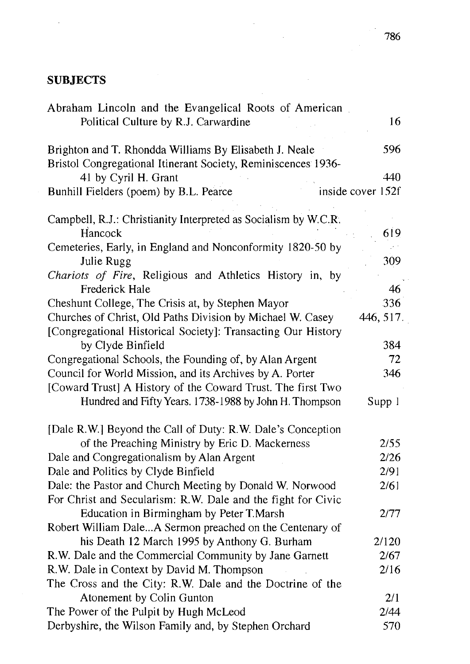#### **SUBJECTS**

| Abraham Lincoln and the Evangelical Roots of American<br>Political Culture by R.J. Carwardine | 16                |
|-----------------------------------------------------------------------------------------------|-------------------|
|                                                                                               |                   |
| Brighton and T. Rhondda Williams By Elisabeth J. Neale                                        | 596               |
| Bristol Congregational Itinerant Society, Reminiscences 1936-                                 |                   |
| 41 by Cyril H. Grant                                                                          | 440               |
| Bunhill Fielders (poem) by B.L. Pearce                                                        | inside cover 152f |
| Campbell, R.J.: Christianity Interpreted as Socialism by W.C.R.                               |                   |
| Hancock                                                                                       | 619               |
| Cemeteries, Early, in England and Nonconformity 1820-50 by                                    |                   |
| Julie Rugg                                                                                    | 309               |
| Chariots of Fire, Religious and Athletics History in, by                                      |                   |
| Frederick Hale                                                                                | 46                |
| Cheshunt College, The Crisis at, by Stephen Mayor                                             | 336               |
| Churches of Christ, Old Paths Division by Michael W. Casey                                    | 446, 517.         |
| [Congregational Historical Society]: Transacting Our History                                  |                   |
| by Clyde Binfield                                                                             | 384               |
| Congregational Schools, the Founding of, by Alan Argent                                       | 72                |
| Council for World Mission, and its Archives by A. Porter                                      | 346               |
| [Coward Trust] A History of the Coward Trust. The first Two                                   |                   |
| Hundred and Fifty Years. 1738-1988 by John H. Thompson                                        | Supp 1            |
| [Dale R.W.] Beyond the Call of Duty: R.W. Dale's Conception                                   |                   |
| of the Preaching Ministry by Eric D. Mackerness                                               | 2/55              |
| Dale and Congregationalism by Alan Argent                                                     | 2/26              |
| Dale and Politics by Clyde Binfield                                                           | 2/91              |
| Dale: the Pastor and Church Meeting by Donald W. Norwood                                      | 2/61              |
| For Christ and Secularism: R.W. Dale and the fight for Civic                                  |                   |
| Education in Birmingham by Peter T.Marsh                                                      | 2/77              |
| Robert William DaleA Sermon preached on the Centenary of                                      |                   |
| his Death 12 March 1995 by Anthony G. Burham                                                  | 2/120             |
| R.W. Dale and the Commercial Community by Jane Garnett                                        | 2/67              |
| R.W. Dale in Context by David M. Thompson                                                     | 2/16              |
| The Cross and the City: R.W. Dale and the Doctrine of the                                     |                   |
| Atonement by Colin Gunton                                                                     | 2/1               |
| The Power of the Pulpit by Hugh McLeod                                                        | 2/44              |
| Derbyshire, the Wilson Family and, by Stephen Orchard                                         | 570               |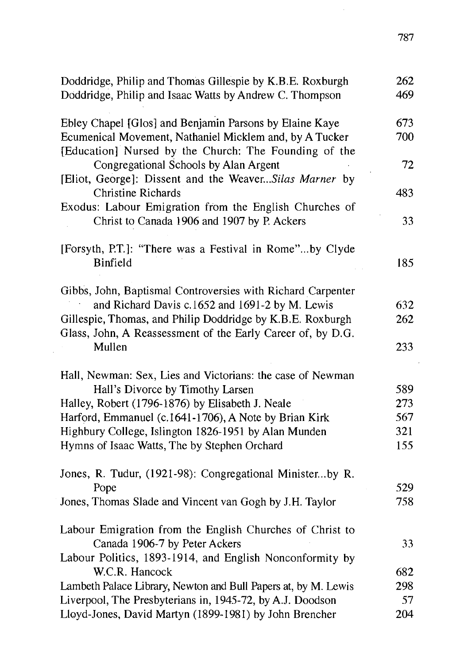| Doddridge, Philip and Thomas Gillespie by K.B.E. Roxburgh<br>Doddridge, Philip and Isaac Watts by Andrew C. Thompson | 262<br>469 |
|----------------------------------------------------------------------------------------------------------------------|------------|
| Ebley Chapel [Glos] and Benjamin Parsons by Elaine Kaye                                                              | 673        |
| Ecumenical Movement, Nathaniel Micklem and, by A Tucker<br>[Education] Nursed by the Church: The Founding of the     | 700        |
| Congregational Schools by Alan Argent<br>[Eliot, George]: Dissent and the WeaverSilas Marner by                      | 72         |
| <b>Christine Richards</b>                                                                                            | 483        |
| Exodus: Labour Emigration from the English Churches of<br>Christ to Canada 1906 and 1907 by P. Ackers                | 33         |
| [Forsyth, P.T.]: "There was a Festival in Rome"by Clyde                                                              |            |
| Binfield                                                                                                             | 185        |
| Gibbs, John, Baptismal Controversies with Richard Carpenter                                                          |            |
| and Richard Davis c.1652 and 1691-2 by M. Lewis                                                                      | 632        |
| Gillespie, Thomas, and Philip Doddridge by K.B.E. Roxburgh                                                           | 262        |
| Glass, John, A Reassessment of the Early Career of, by D.G.                                                          |            |
| Mullen                                                                                                               | 233        |
| Hall, Newman: Sex, Lies and Victorians: the case of Newman                                                           |            |
| Hall's Divorce by Timothy Larsen                                                                                     | 589        |
| Halley, Robert (1796-1876) by Elisabeth J. Neale                                                                     | 273        |
| Harford, Emmanuel (c.1641-1706), A Note by Brian Kirk                                                                | 567        |
| Highbury College, Islington 1826-1951 by Alan Munden                                                                 | 321        |
| Hymns of Isaac Watts, The by Stephen Orchard                                                                         | 155        |
| Jones, R. Tudur, (1921-98): Congregational Ministerby R.                                                             |            |
| Pope                                                                                                                 | 529        |
| Jones, Thomas Slade and Vincent van Gogh by J.H. Taylor                                                              | 758        |
| Labour Emigration from the English Churches of Christ to                                                             |            |
| Canada 1906-7 by Peter Ackers                                                                                        | 33         |
| Labour Politics, 1893-1914, and English Nonconformity by<br>W.C.R. Hancock                                           | 682        |
| Lambeth Palace Library, Newton and Bull Papers at, by M. Lewis                                                       | 298        |
| Liverpool, The Presbyterians in, 1945-72, by A.J. Doodson                                                            | 57         |
| Lloyd-Jones, David Martyn (1899-1981) by John Brencher                                                               | 204        |

 $\bar{\gamma}$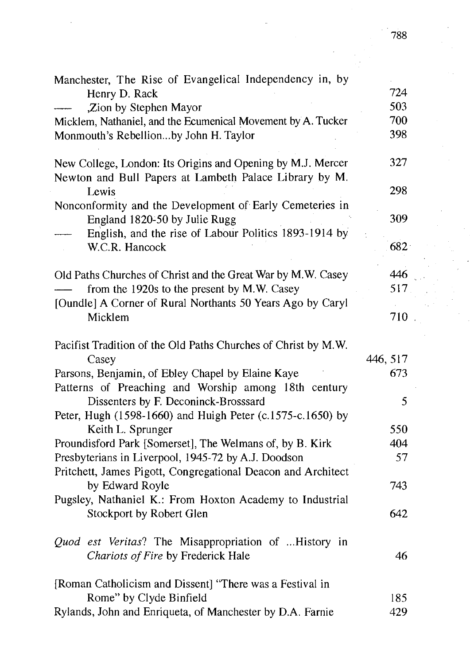| Manchester, The Rise of Evangelical Independency in, by                                                               |          |
|-----------------------------------------------------------------------------------------------------------------------|----------|
| Henry D. Rack                                                                                                         | 724      |
| ,Zion by Stephen Mayor                                                                                                | 503      |
| Micklem, Nathaniel, and the Ecumenical Movement by A. Tucker                                                          | 700      |
| Monmouth's Rebellionby John H. Taylor                                                                                 | 398      |
| New College, London: Its Origins and Opening by M.J. Mercer<br>Newton and Bull Papers at Lambeth Palace Library by M. | 327      |
| Lewis                                                                                                                 | 298      |
| Nonconformity and the Development of Early Cemeteries in<br>England 1820-50 by Julie Rugg                             | 309      |
| English, and the rise of Labour Politics 1893-1914 by                                                                 |          |
| W.C.R. Hancock                                                                                                        | 682      |
| Old Paths Churches of Christ and the Great War by M.W. Casey                                                          | 446      |
| from the 1920s to the present by M.W. Casey                                                                           | 517      |
| [Oundle] A Corner of Rural Northants 50 Years Ago by Caryl                                                            |          |
| Micklem                                                                                                               | 710      |
|                                                                                                                       |          |
| Pacifist Tradition of the Old Paths Churches of Christ by M.W.                                                        |          |
| Casey                                                                                                                 | 446, 517 |
| Parsons, Benjamin, of Ebley Chapel by Elaine Kaye                                                                     | 673      |
| Patterns of Preaching and Worship among 18th century                                                                  |          |
| Dissenters by F. Deconinck-Brosssard                                                                                  | 5        |
| Peter, Hugh (1598-1660) and Huigh Peter (c.1575-c.1650) by                                                            |          |
| Keith L. Sprunger                                                                                                     | 550      |
| Proundisford Park [Somerset], The Welmans of, by B. Kirk                                                              | 404      |
| Presbyterians in Liverpool, 1945-72 by A.J. Doodson                                                                   | 57       |
| Pritchett, James Pigott, Congregational Deacon and Architect                                                          |          |
| by Edward Royle                                                                                                       | 743      |
| Pugsley, Nathaniel K.: From Hoxton Academy to Industrial                                                              |          |
| Stockport by Robert Glen                                                                                              | 642      |
| Quod est Veritas? The Misappropriation of History in                                                                  |          |
| Chariots of Fire by Frederick Hale                                                                                    | 46       |
|                                                                                                                       |          |
| [Roman Catholicism and Dissent] "There was a Festival in                                                              |          |
| Rome" by Clyde Binfield                                                                                               | 185      |
| Rylands, John and Enriqueta, of Manchester by D.A. Farnie                                                             | 429      |